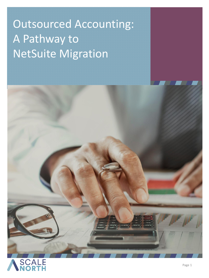# Outsourced Accounting: A Pathway to NetSuite Migration

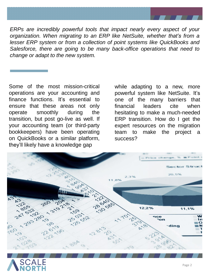

*ERPs are incredibly powerful tools that impact nearly every aspect of your organization. When migrating to an ERP like NetSuite, whether that's from a lesser ERP system or from a collection of point systems like QuickBooks and Salesforce, there are going to be many back-office operations that need to change or adapt to the new system.*

Some of the most mission-critical operations are your accounting and finance functions. It's essential to ensure that these areas not only operate smoothly during the transition, but post go-live as well. If your accounting team (or third-party bookkeepers) have been operating on QuickBooks or a similar platform, they'll likely have a knowledge gap

while adapting to a new, more powerful system like NetSuite. It's one of the many barriers that financial leaders cite when hesitating to make a much-needed ERP transition. How do I get the expert resources on the migration team to make the project a success?



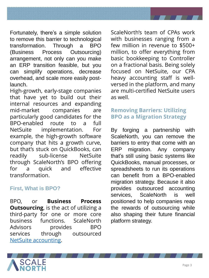

Fortunately, there's a simple solution to remove this barrier to technological transformation. Through a BPO (Business Process Outsourcing) arrangement, not only can you make an ERP transition feasible, but you can simplify operations, decrease overhead, and scale more easily postlaunch.

High-growth, early-stage companies that have yet to build out their internal resources and expanding mid-market companies are particularly good candidates for the BPO-enabled route to a full NetSuite implementation. For example, the high-growth software company that hits a growth curve, but that's stuck on QuickBooks, can readily sub-license NetSuite through ScaleNorth's BPO offering for a quick and effective transformation.

#### **First, What is BPO?**

BPO, or **Business Process Outsourcing**, is the act of utilizing a third-party for one or more core business functions. ScaleNorth Advisors provides BPO services through outsourced NetSuite [accounting](https://scalenorth.com/netsuite-accounting/).

ScaleNorth's team of CPAs work with businesses ranging from a few million in revenue to \$500+ million, to offer everything from basic bookkeeping to Controller on a fractional basis. Being solely focused on NetSuite, our CPA heavy accounting staff is wellversed in the platform, and many are multi-certified NetSuite users as well.

# **Removing Barriers: Utilizing BPO as a Migration Strategy**

By forging a partnership with ScaleNorth, you can remove the barriers to entry that come with an ERP migration. Any company that's still using basic systems like QuickBooks, manual processes, or spreadsheets to run its operations can benefit from a BPO-enabled migration strategy. Because it also provides outsourced accounting services, ScaleNorth is well positioned to help companies reap the rewards of outsourcing while also shaping their future financial platform strategy.

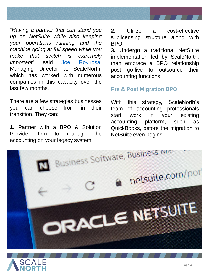

"*Having a partner that can stand you up on NetSuite while also keeping your operations running and the machine going at full speed while you make that switch is extremely important*" said Joe [Rovirosa,](https://www.linkedin.com/in/joe-rovirosa-cpa-50a2965a/) Managing Director at ScaleNorth, which has worked with numerous companies in this capacity over the last few months.

There are a few strategies businesses you can choose from in their transition. They can:

**1.** Partner with a BPO & Solution Provider firm to manage the accounting on your legacy system

**2.** Utilize a cost-effective sublicensing structure along with BPO.

**3.** Undergo a traditional NetSuite implementation led by ScaleNorth, then embrace a BPO relationship post go-live to outsource their accounting functions.

#### **Pre & Post Migration BPO**

With this strategy, ScaleNorth's team of accounting professionals start work in your existing accounting platform, such as QuickBooks, before the migration to NetSuite even begins.



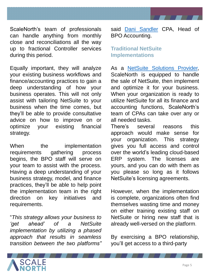

ScaleNorth's team of professionals can handle anything from monthly close and reconciliations all the way up to fractional Controller services during this period.

Equally important, they will analyze your existing business workflows and finance/accounting practices to gain a deep understanding of how your business operates. This will not only assist with tailoring NetSuite to your business when the time comes, but they'll be able to provide consultative advice on how to improve on or optimize your existing financial strategy.

When the implementation requirements gathering process begins, the BPO staff will serve on your team to assist with the process. Having a deep understanding of your business strategy, model, and finance practices, they'll be able to help point the implementation team in the right direction on key initiatives and requirements.

"*This strategy allows your business to 'get ahead' of a NetSuite implementation by utilizing a phased approach that results in seamless transition between the two platforms"*

said Dani [Sandler](https://www.linkedin.com/in/danisandler/) CPA, Head of BPO Accounting.

#### **Traditional NetSuite Implementations**

As a NetSuite [Solutions](https://scalenorth.com/) Provider, ScaleNorth is equipped to handle the sale of NetSuite, then implement and optimize it for your business. When your organization is ready to utilize NetSuite for all its finance and accounting functions, ScaleNorth's team of CPAs can take over any or all needed tasks.

There's several reasons this approach would make sense for your organization. This strategy gives you full access and control over the world's leading cloud-based ERP system. The licenses are yours, and you can do with them as you please so long as it follows NetSuite's licensing agreements.

However, when the implementation is complete, organizations often find themselves wasting time and money on either training existing staff on NetSuite or hiring new staff that is already well-versed on the platform.

By exercising a BPO relationship, you'll get access to a third-party

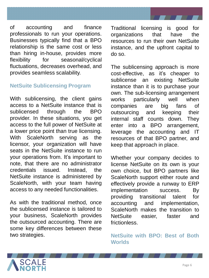

of accounting and finance professionals to run your operations. Businesses typically find that a BPO relationship is the same cost or less than hiring in-house, provides more flexibility for seasonal/cyclical fluctuations, decreases overhead, and provides seamless scalability.

#### **NetSuite Sublicensing Program**

With sublicensing, the client gains access to a NetSuite instance that is sublicensed through the BPO provider. In these situations, you get access to the full power of NetSuite at a lower price point than true licensing. With ScaleNorth serving as the licensor, your organization will have seats in the NetSuite instance to run your operations from. It's important to note, that there are no administrator credentials issued. Instead, the NetSuite instance is administered by ScaleNorth, with your team having access to any needed functionalities.

As with the traditional method, once the sublicensed instance is tailored to your business, ScaleNorth provides the outsourced accounting. There are some key differences between these two strategies.

Traditional licensing is good for organizations that have the resources to run their own NetSuite instance, and the upfront capital to do so.

The sublicensing approach is more cost-effective, as it's cheaper to sublicense an existing NetSuite instance than it is to purchase your own. The sub-licensing arrangement works particularly well when companies are big fans of outsourcing and keeping their internal staff counts down. They enter into a BPO arrangement, leverage the accounting and IT resources of that BPO partner, and keep that approach in place.

Whether your company decides to license NetSuite on its own is your own choice, but BPO partners like ScaleNorth support either route and effectively provide a runway to ERP implementation success. By providing transitional talent for accounting and implementation, ScaleNorth makes the transition to NetSuite easier, faster and **frictionless** 

**NetSuite with BPO: Best of Both Worlds**

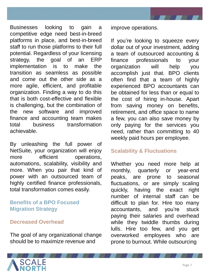

Businesses looking to gain a competitive edge need best-in-breed platforms in place, and best-in-breed staff to run those platforms to their full potential. Regardless of your licensing strategy, the goal of an ERP implementation is to make the transition as seamless as possible and come out the other side as a more agile, efficient, and profitable organization. Finding a way to do this that is both cost-effective and flexible is challenging, but the combination of the new software and improved finance and accounting team makes total business transformation achievable.

By unleashing the full power of NetSuite, your organization will enjoy more efficient operations, automations, scalability, visibility and more. When you pair that kind of power with an outsourced team of highly certified finance professionals, total transformation comes easily.

#### **Benefits of a BPO Focused Migration Strategy**

#### **Decreased Overhead**

The goal of any organizational change should be to maximize revenue and

improve operations.

If you're looking to squeeze every dollar out of your investment, adding a team of outsourced accounting & finance professionals to your organization will help you accomplish just that. BPO clients often find that a team of highly experienced BPO accountants can be obtained for less than or equal to the cost of hiring in-house. Apart from saving money on benefits, retirement, and office space to name a few, you can also save money by only paying for the services you need, rather than committing to 40 weekly paid hours per employee.

### **Scalability & Fluctuations**

Whether you need more help at monthly, quarterly or year-end peaks, are prone to seasonal fluctuations, or are simply scaling quickly, having the exact right number of internal staff can be difficult to plan for. Hire too many accountants, and you're stuck paying their salaries and overhead while they twiddle thumbs during lulls. Hire too few, and you get overworked employees who are prone to burnout. While outsourcing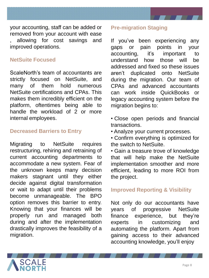

your accounting, staff can be added or removed from your account with ease , allowing for cost savings and improved operations.

#### **NetSuite Focused**

ScaleNorth's team of accountants are strictly focused on NetSuite, and many of them hold numerous NetSuite certifications and CPAs. This makes them incredibly efficient on the platform, oftentimes being able to handle the workload of 2 or more internal employees.

#### **Decreased Barriers to Entry**

Migrating to NetSuite requires restructuring, rehiring and retraining of current accounting departments to accommodate a new system. Fear of the unknown keeps many decision makers stagnant until they either decide against digital transformation or wait to adapt until their problems become unmanageable. The BPO option removes this barrier to entry. Knowing that your finances will be properly run and managed both during and after the implementation drastically improves the feasibility of a migration.

#### **Pre-migration Staging**

If you've been experiencing any gaps or pain points in your accounting, it's important to understand how those will be addressed and fixed so these issues aren't duplicated onto NetSuite during the migration. Our team of CPAs and advanced accountants can work inside QuickBooks or legacy accounting system before the migration begins to:

- Close open periods and financial transactions.
- Analyze your current processes.

• Confirm everything is optimized for the switch to NetSuite.

• Gain a treasure trove of knowledge that will help make the NetSuite implementation smoother and more efficient, leading to more ROI from the project.

#### **Improved Reporting & Visibility**

Not only do our accountants have years of progressive NetSuite finance experience, but they're experts in customizing and automating the platform. Apart from gaining access to their advanced accounting knowledge, you'll enjoy